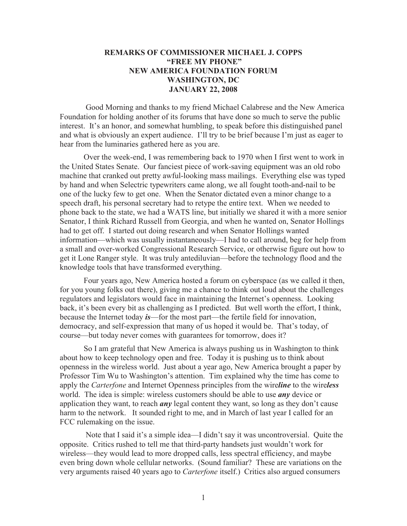## **REMARKS OF COMMISSIONER MICHAEL J. COPPS "FREE MY PHONE" NEW AMERICA FOUNDATION FORUM WASHINGTON, DC JANUARY 22, 2008**

Good Morning and thanks to my friend Michael Calabrese and the New America Foundation for holding another of its forums that have done so much to serve the public interest. It's an honor, and somewhat humbling, to speak before this distinguished panel and what is obviously an expert audience. I'll try to be brief because I'm just as eager to hear from the luminaries gathered here as you are.

Over the week-end, I was remembering back to 1970 when I first went to work in the United States Senate. Our fanciest piece of work-saving equipment was an old robo machine that cranked out pretty awful-looking mass mailings. Everything else was typed by hand and when Selectric typewriters came along, we all fought tooth-and-nail to be one of the lucky few to get one. When the Senator dictated even a minor change to a speech draft, his personal secretary had to retype the entire text. When we needed to phone back to the state, we had a WATS line, but initially we shared it with a more senior Senator, I think Richard Russell from Georgia, and when he wanted on, Senator Hollings had to get off. I started out doing research and when Senator Hollings wanted information—which was usually instantaneously—I had to call around, beg for help from a small and over-worked Congressional Research Service, or otherwise figure out how to get it Lone Ranger style. It was truly antediluvian—before the technology flood and the knowledge tools that have transformed everything.

Four years ago, New America hosted a forum on cyberspace (as we called it then, for you young folks out there), giving me a chance to think out loud about the challenges regulators and legislators would face in maintaining the Internet's openness. Looking back, it's been every bit as challenging as I predicted. But well worth the effort, I think, because the Internet today *is*—for the most part—the fertile field for innovation, democracy, and self-expression that many of us hoped it would be. That's today, of course—but today never comes with guarantees for tomorrow, does it?

So I am grateful that New America is always pushing us in Washington to think about how to keep technology open and free. Today it is pushing us to think about openness in the wireless world. Just about a year ago, New America brought a paper by Professor Tim Wu to Washington's attention. Tim explained why the time has come to apply the *Carterfone* and Internet Openness principles from the wire*line* to the wire*less* world. The idea is simple: wireless customers should be able to use *any* device or application they want, to reach *any* legal content they want, so long as they don't cause harm to the network. It sounded right to me, and in March of last year I called for an FCC rulemaking on the issue.

Note that I said it's a simple idea—I didn't say it was uncontroversial. Quite the opposite. Critics rushed to tell me that third-party handsets just wouldn't work for wireless—they would lead to more dropped calls, less spectral efficiency, and maybe even bring down whole cellular networks. (Sound familiar? These are variations on the very arguments raised 40 years ago to *Carterfone* itself.) Critics also argued consumers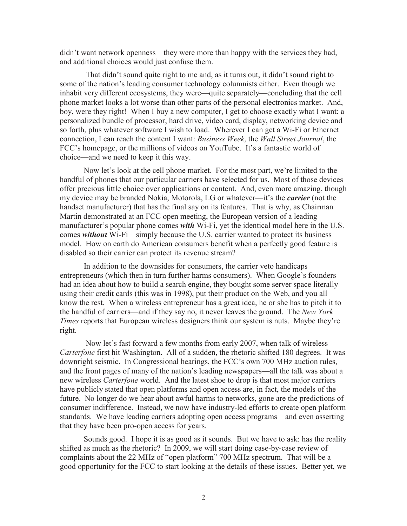didn't want network openness—they were more than happy with the services they had, and additional choices would just confuse them.

That didn't sound quite right to me and, as it turns out, it didn't sound right to some of the nation's leading consumer technology columnists either. Even though we inhabit very different ecosystems, they were—quite separately—concluding that the cell phone market looks a lot worse than other parts of the personal electronics market. And, boy, were they right! When I buy a new computer, I get to choose exactly what I want: a personalized bundle of processor, hard drive, video card, display, networking device and so forth, plus whatever software I wish to load. Wherever I can get a Wi-Fi or Ethernet connection, I can reach the content I want: *Business Week*, the *Wall Street Journal*, the FCC's homepage, or the millions of videos on YouTube. It's a fantastic world of choice—and we need to keep it this way.

Now let's look at the cell phone market. For the most part, we're limited to the handful of phones that our particular carriers have selected for us. Most of those devices offer precious little choice over applications or content. And, even more amazing, though my device may be branded Nokia, Motorola, LG or whatever—it's the *carrier* (not the handset manufacturer) that has the final say on its features. That is why, as Chairman Martin demonstrated at an FCC open meeting, the European version of a leading manufacturer's popular phone comes *with* Wi-Fi, yet the identical model here in the U.S. comes *without* Wi-Fi—simply because the U.S. carrier wanted to protect its business model. How on earth do American consumers benefit when a perfectly good feature is disabled so their carrier can protect its revenue stream?

In addition to the downsides for consumers, the carrier veto handicaps entrepreneurs (which then in turn further harms consumers). When Google's founders had an idea about how to build a search engine, they bought some server space literally using their credit cards (this was in 1998), put their product on the Web, and you all know the rest. When a wireless entrepreneur has a great idea, he or she has to pitch it to the handful of carriers—and if they say no, it never leaves the ground. The *New York Times* reports that European wireless designers think our system is nuts. Maybe they're right.

Now let's fast forward a few months from early 2007, when talk of wireless *Carterfone* first hit Washington. All of a sudden, the rhetoric shifted 180 degrees. It was downright seismic. In Congressional hearings, the FCC's own 700 MHz auction rules, and the front pages of many of the nation's leading newspapers—all the talk was about a new wireless *Carterfone* world. And the latest shoe to drop is that most major carriers have publicly stated that open platforms and open access are, in fact, the models of the future. No longer do we hear about awful harms to networks, gone are the predictions of consumer indifference. Instead, we now have industry-led efforts to create open platform standards. We have leading carriers adopting open access programs—and even asserting that they have been pro-open access for years.

Sounds good. I hope it is as good as it sounds. But we have to ask: has the reality shifted as much as the rhetoric? In 2009, we will start doing case-by-case review of complaints about the 22 MHz of "open platform" 700 MHz spectrum. That will be a good opportunity for the FCC to start looking at the details of these issues. Better yet, we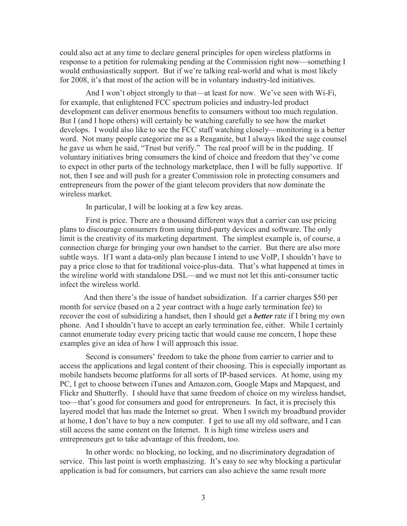could also act at any time to declare general principles for open wireless platforms in response to a petition for rulemaking pending at the Commission right now—something I would enthusiastically support. But if we're talking real-world and what is most likely for 2008, it's that most of the action will be in voluntary industry-led initiatives.

And I won't object strongly to that—at least for now. We've seen with Wi-Fi, for example, that enlightened FCC spectrum policies and industry-led product development can deliver enormous benefits to consumers without too much regulation. But I (and I hope others) will certainly be watching carefully to see how the market develops. I would also like to see the FCC staff watching closely—monitoring is a better word. Not many people categorize me as a Reaganite, but I always liked the sage counsel he gave us when he said, "Trust but verify." The real proof will be in the pudding. If voluntary initiatives bring consumers the kind of choice and freedom that they've come to expect in other parts of the technology marketplace, then I will be fully supportive. If not, then I see and will push for a greater Commission role in protecting consumers and entrepreneurs from the power of the giant telecom providers that now dominate the wireless market.

In particular, I will be looking at a few key areas.

First is price. There are a thousand different ways that a carrier can use pricing plans to discourage consumers from using third-party devices and software. The only limit is the creativity of its marketing department. The simplest example is, of course, a connection charge for bringing your own handset to the carrier. But there are also more subtle ways. If I want a data-only plan because I intend to use VoIP, I shouldn't have to pay a price close to that for traditional voice-plus-data. That's what happened at times in the wireline world with standalone DSL—and we must not let this anti-consumer tactic infect the wireless world.

And then there's the issue of handset subsidization. If a carrier charges \$50 per month for service (based on a 2 year contract with a huge early termination fee) to recover the cost of subsidizing a handset, then I should get a *better* rate if I bring my own phone. And I shouldn't have to accept an early termination fee, either. While I certainly cannot enumerate today every pricing tactic that would cause me concern, I hope these examples give an idea of how I will approach this issue.

Second is consumers' freedom to take the phone from carrier to carrier and to access the applications and legal content of their choosing. This is especially important as mobile handsets become platforms for all sorts of IP-based services. At home, using my PC, I get to choose between iTunes and Amazon.com, Google Maps and Mapquest, and Flickr and Shutterfly. I should have that same freedom of choice on my wireless handset, too—that's good for consumers and good for entrepreneurs. In fact, it is precisely this layered model that has made the Internet so great. When I switch my broadband provider at home, I don't have to buy a new computer. I get to use all my old software, and I can still access the same content on the Internet. It is high time wireless users and entrepreneurs get to take advantage of this freedom, too.

In other words: no blocking, no locking, and no discriminatory degradation of service. This last point is worth emphasizing. It's easy to see why blocking a particular application is bad for consumers, but carriers can also achieve the same result more